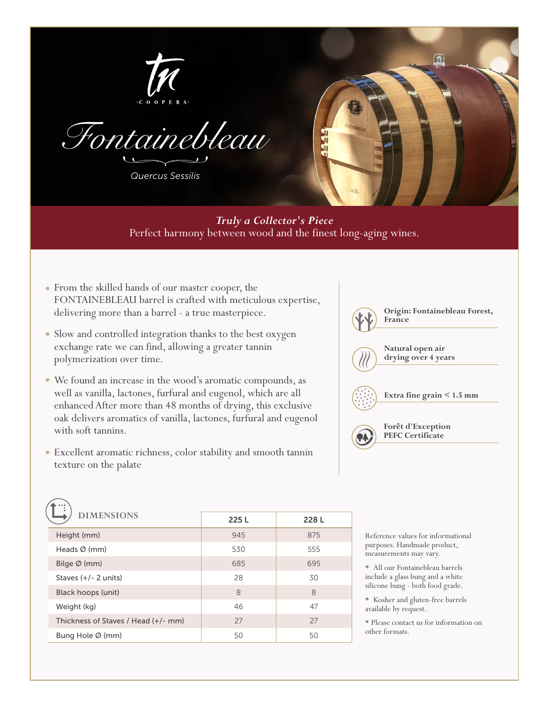



*Quercus Sessilis*



*Truly a Collector's Piece*  Perfect harmony between wood and the finest long-aging wines.

- From the skilled hands of our master cooper, the FONTAINEBLEAU barrel is crafted with meticulous expertise, delivering more than a barrel - a true masterpiece.
- Slow and controlled integration thanks to the best oxygen exchange rate we can find, allowing a greater tannin polymerization over time.
- We found an increase in the wood's aromatic compounds, as well as vanilla, lactones, furfural and eugenol, which are all enhanced After more than 48 months of drying, this exclusive oak delivers aromatics of vanilla, lactones, furfural and eugenol with soft tannins.
- Excellent aromatic richness, color stability and smooth tannin texture on the palate



| <b>DIMENSIONS</b>                   | 225L | 228L |
|-------------------------------------|------|------|
| Height (mm)                         | 945  | 875  |
| Heads $\varnothing$ (mm)            | 530  | 555  |
| Bilge $\varnothing$ (mm)            | 685  | 695  |
| Staves $(+/- 2$ units)              | 28   | 30   |
| Black hoops (unit)                  | 8    | 8    |
| Weight (kg)                         | 46   | 47   |
| Thickness of Staves / Head (+/- mm) | 27   | 27   |
| Bung Hole $\varnothing$ (mm)        | 50   | 50   |

Reference values for informational purposes. Handmade product, measurements may vary.

\* All our Fontainebleau barrels include a glass bung and a white silicone bung - both food grade.

\* Kosher and gluten-free barrels available by request.

\* Please contact us for information on other formats.